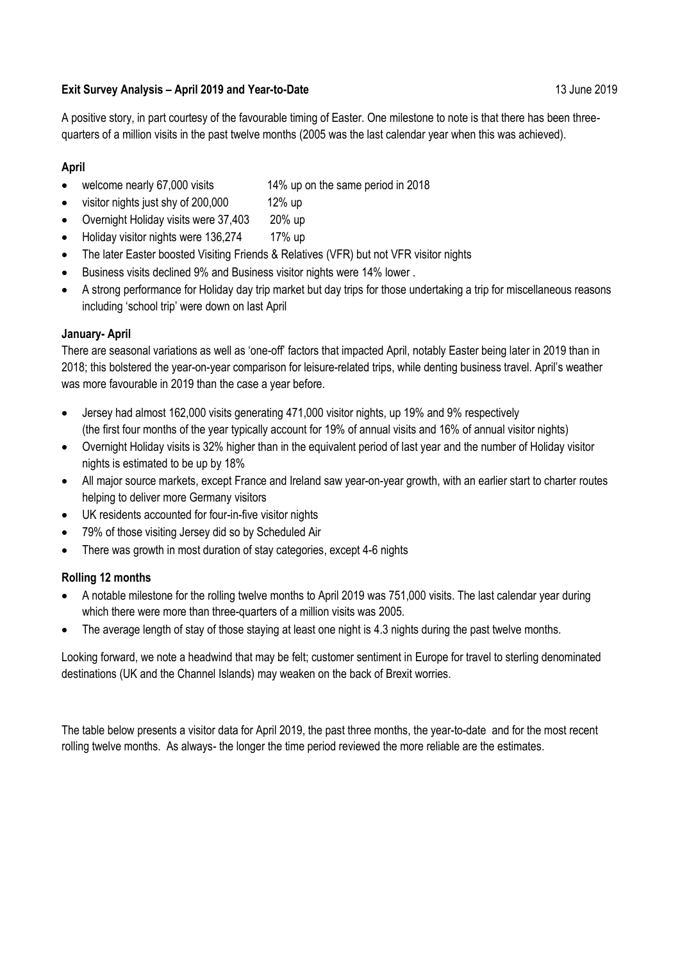## **Exit Survey Analysis – April 2019 and Year-to-Date** 13 June 2019

A positive story, in part courtesy of the favourable timing of Easter. One milestone to note is that there has been threequarters of a million visits in the past twelve months (2005 was the last calendar year when this was achieved).

## **April**

- welcome nearly 67,000 visits 14% up on the same period in 2018
- visitor nights just shy of 200,000 12% up
- Overnight Holiday visits were 37,403 20% up
- Holiday visitor nights were 136,274 17% up
- The later Easter boosted Visiting Friends & Relatives (VFR) but not VFR visitor nights
- Business visits declined 9% and Business visitor nights were 14% lower .
- A strong performance for Holiday day trip market but day trips for those undertaking a trip for miscellaneous reasons including 'school trip' were down on last April

## **January- April**

There are seasonal variations as well as 'one-off' factors that impacted April, notably Easter being later in 2019 than in 2018; this bolstered the year-on-year comparison for leisure-related trips, while denting business travel. April's weather was more favourable in 2019 than the case a year before.

- Jersey had almost 162,000 visits generating 471,000 visitor nights, up 19% and 9% respectively (the first four months of the year typically account for 19% of annual visits and 16% of annual visitor nights)
- Overnight Holiday visits is 32% higher than in the equivalent period of last year and the number of Holiday visitor nights is estimated to be up by 18%
- All major source markets, except France and Ireland saw year-on-year growth, with an earlier start to charter routes helping to deliver more Germany visitors
- UK residents accounted for four-in-five visitor nights
- 79% of those visiting Jersey did so by Scheduled Air
- There was growth in most duration of stay categories, except 4-6 nights

## **Rolling 12 months**

- A notable milestone for the rolling twelve months to April 2019 was 751,000 visits. The last calendar year during which there were more than three-quarters of a million visits was 2005.
- The average length of stay of those staying at least one night is 4.3 nights during the past twelve months.

Looking forward, we note a headwind that may be felt; customer sentiment in Europe for travel to sterling denominated destinations (UK and the Channel Islands) may weaken on the back of Brexit worries.

The table below presents a visitor data for April 2019, the past three months, the year-to-date and for the most recent rolling twelve months. As always- the longer the time period reviewed the more reliable are the estimates.